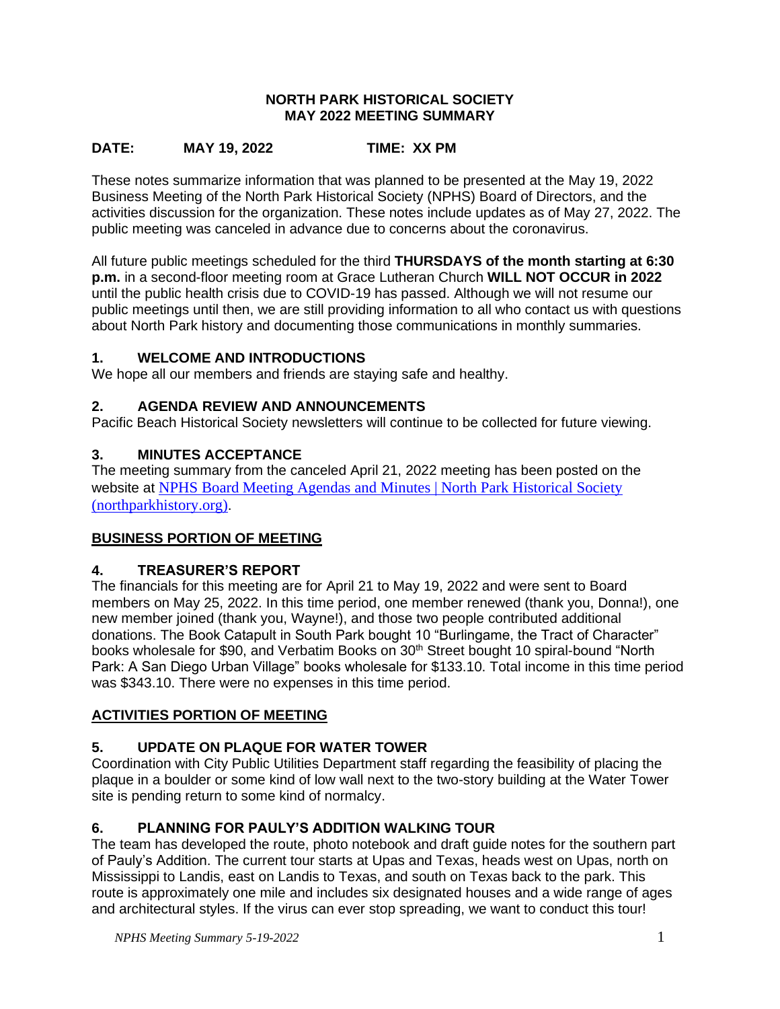#### **NORTH PARK HISTORICAL SOCIETY MAY 2022 MEETING SUMMARY**

## **DATE: MAY 19, 2022 TIME: XX PM**

These notes summarize information that was planned to be presented at the May 19, 2022 Business Meeting of the North Park Historical Society (NPHS) Board of Directors, and the activities discussion for the organization. These notes include updates as of May 27, 2022. The public meeting was canceled in advance due to concerns about the coronavirus.

All future public meetings scheduled for the third **THURSDAYS of the month starting at 6:30 p.m.** in a second-floor meeting room at Grace Lutheran Church **WILL NOT OCCUR in 2022**  until the public health crisis due to COVID-19 has passed. Although we will not resume our public meetings until then, we are still providing information to all who contact us with questions about North Park history and documenting those communications in monthly summaries.

#### **1. WELCOME AND INTRODUCTIONS**

We hope all our members and friends are staying safe and healthy.

### **2. AGENDA REVIEW AND ANNOUNCEMENTS**

Pacific Beach Historical Society newsletters will continue to be collected for future viewing.

### **3. MINUTES ACCEPTANCE**

The meeting summary from the canceled April 21, 2022 meeting has been posted on the website at [NPHS Board Meeting Agendas and Minutes | North Park Historical Society](https://northparkhistory.org/about-us/nphs-board-of-directors-meeting-agenda/)  [\(northparkhistory.org\)](https://northparkhistory.org/about-us/nphs-board-of-directors-meeting-agenda/).

### **BUSINESS PORTION OF MEETING**

### **4. TREASURER'S REPORT**

The financials for this meeting are for April 21 to May 19, 2022 and were sent to Board members on May 25, 2022. In this time period, one member renewed (thank you, Donna!), one new member joined (thank you, Wayne!), and those two people contributed additional donations. The Book Catapult in South Park bought 10 "Burlingame, the Tract of Character" books wholesale for \$90, and Verbatim Books on 30<sup>th</sup> Street bought 10 spiral-bound "North Park: A San Diego Urban Village" books wholesale for \$133.10. Total income in this time period was \$343.10. There were no expenses in this time period.

#### **ACTIVITIES PORTION OF MEETING**

### **5. UPDATE ON PLAQUE FOR WATER TOWER**

Coordination with City Public Utilities Department staff regarding the feasibility of placing the plaque in a boulder or some kind of low wall next to the two-story building at the Water Tower site is pending return to some kind of normalcy.

### **6. PLANNING FOR PAULY'S ADDITION WALKING TOUR**

The team has developed the route, photo notebook and draft guide notes for the southern part of Pauly's Addition. The current tour starts at Upas and Texas, heads west on Upas, north on Mississippi to Landis, east on Landis to Texas, and south on Texas back to the park. This route is approximately one mile and includes six designated houses and a wide range of ages and architectural styles. If the virus can ever stop spreading, we want to conduct this tour!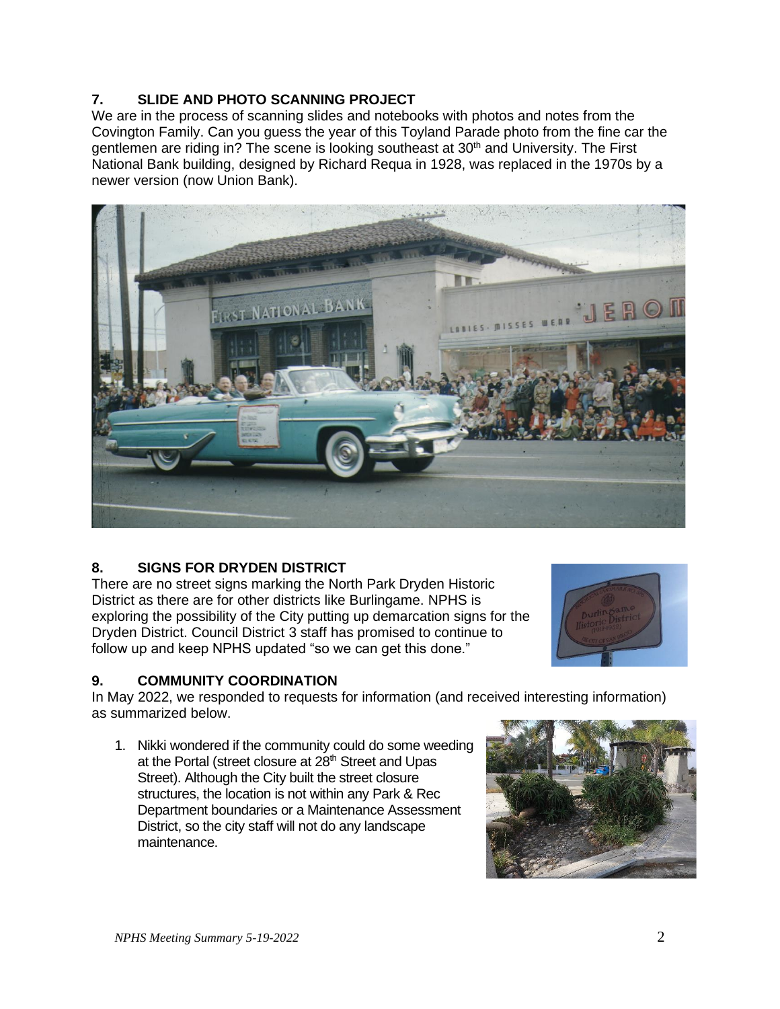# **7. SLIDE AND PHOTO SCANNING PROJECT**

We are in the process of scanning slides and notebooks with photos and notes from the Covington Family. Can you guess the year of this Toyland Parade photo from the fine car the gentlemen are riding in? The scene is looking southeast at 30<sup>th</sup> and University. The First National Bank building, designed by Richard Requa in 1928, was replaced in the 1970s by a newer version (now Union Bank).



### **8. SIGNS FOR DRYDEN DISTRICT**

There are no street signs marking the North Park Dryden Historic District as there are for other districts like Burlingame. NPHS is exploring the possibility of the City putting up demarcation signs for the Dryden District. Council District 3 staff has promised to continue to follow up and keep NPHS updated "so we can get this done."



#### **9. COMMUNITY COORDINATION**

In May 2022, we responded to requests for information (and received interesting information) as summarized below.

1. Nikki wondered if the community could do some weeding at the Portal (street closure at 28<sup>th</sup> Street and Upas Street). Although the City built the street closure structures, the location is not within any Park & Rec Department boundaries or a Maintenance Assessment District, so the city staff will not do any landscape maintenance.

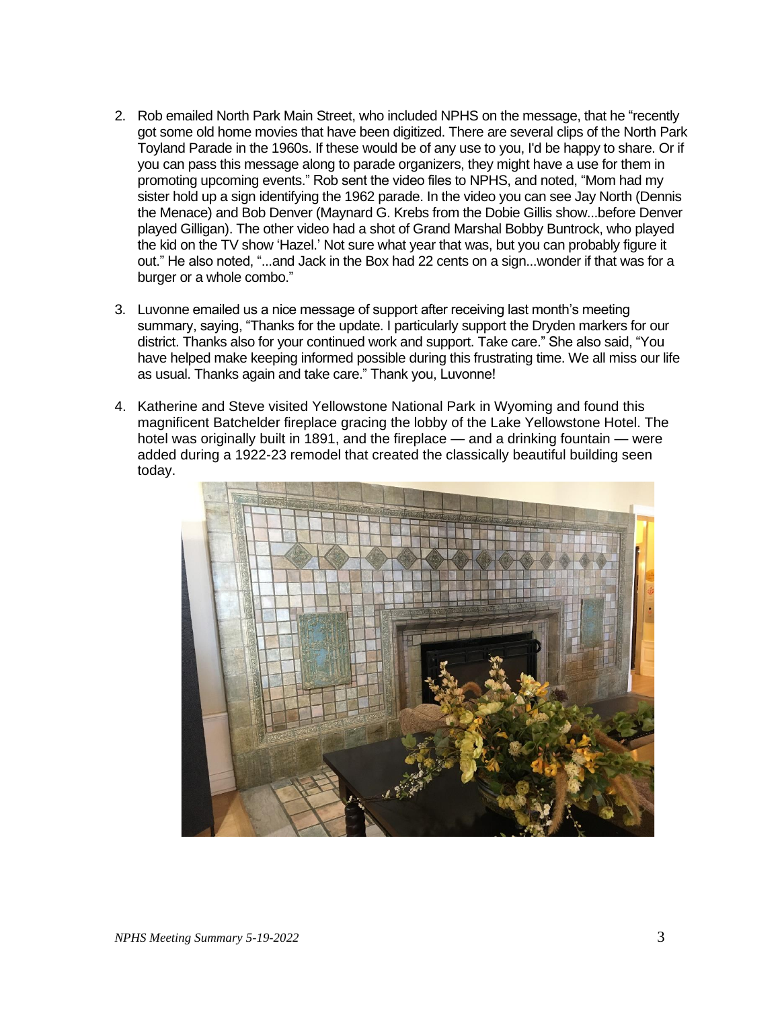- 2. Rob emailed North Park Main Street, who included NPHS on the message, that he "recently got some old home movies that have been digitized. There are several clips of the North Park Toyland Parade in the 1960s. If these would be of any use to you, I'd be happy to share. Or if you can pass this message along to parade organizers, they might have a use for them in promoting upcoming events." Rob sent the video files to NPHS, and noted, "Mom had my sister hold up a sign identifying the 1962 parade. In the video you can see Jay North (Dennis the Menace) and Bob Denver (Maynard G. Krebs from the Dobie Gillis show...before Denver played Gilligan). The other video had a shot of Grand Marshal Bobby Buntrock, who played the kid on the TV show 'Hazel.' Not sure what year that was, but you can probably figure it out." He also noted, "...and Jack in the Box had 22 cents on a sign...wonder if that was for a burger or a whole combo."
- 3. Luvonne emailed us a nice message of support after receiving last month's meeting summary, saying, "Thanks for the update. I particularly support the Dryden markers for our district. Thanks also for your continued work and support. Take care." She also said, "You have helped make keeping informed possible during this frustrating time. We all miss our life as usual. Thanks again and take care." Thank you, Luvonne!
- 4. Katherine and Steve visited Yellowstone National Park in Wyoming and found this magnificent Batchelder fireplace gracing the lobby of the Lake Yellowstone Hotel. The hotel was originally built in 1891, and the fireplace — and a drinking fountain — were added during a 1922-23 remodel that created the classically beautiful building seen today.

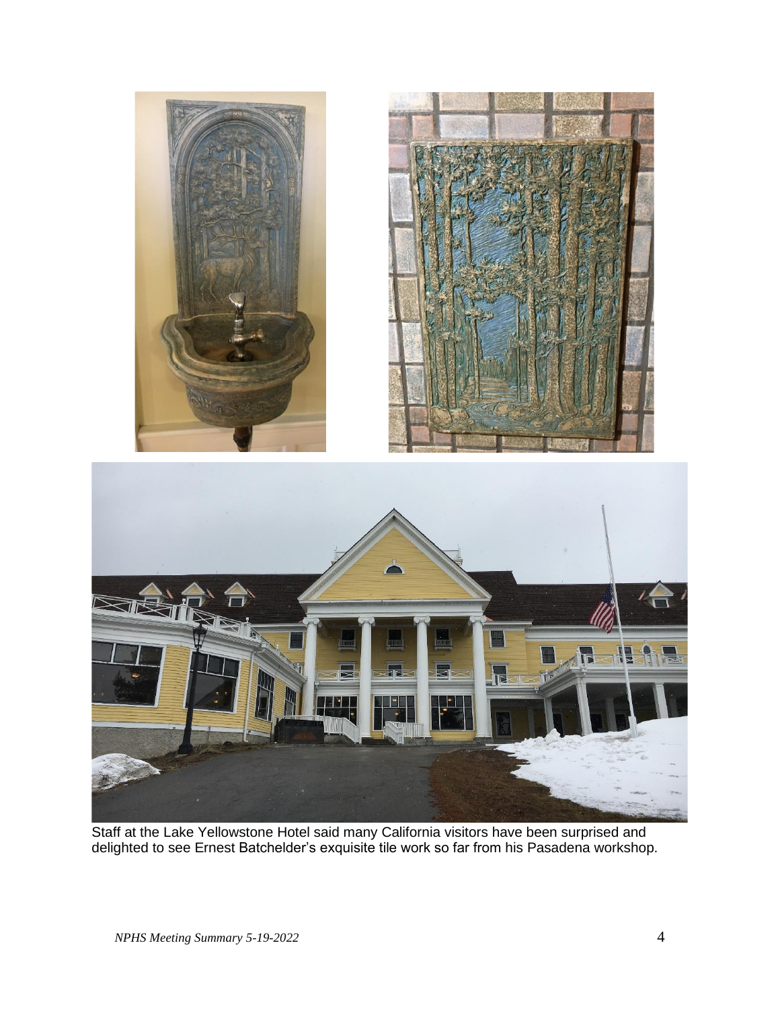

Staff at the Lake Yellowstone Hotel said many California visitors have been surprised and delighted to see Ernest Batchelder's exquisite tile work so far from his Pasadena workshop.